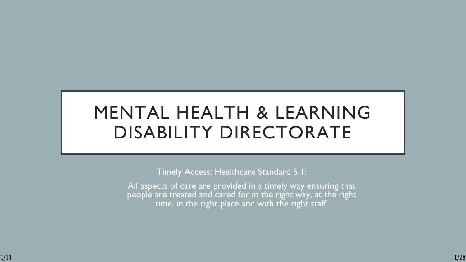# MENTAL HEALTH & LEARNING DISABILITY DIRECTORATE

Timely Access: Healthcare Standard 5.1:

All aspects of care are provided in a timely way ensuring that people are treated and cared for in the right way, at the right time, in the right place and with the right staff.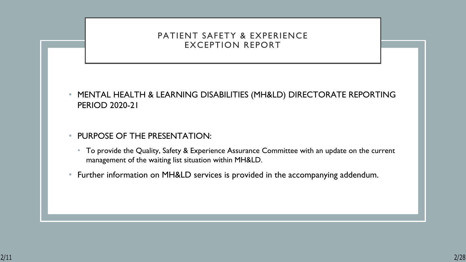#### PATIENT SAFETY & EXPERIENCE EXCEPTION REPORT

- MENTAL HEALTH & LEARNING DISABILITIES (MH&LD) DIRECTORATE REPORTING PERIOD 2020-21
- PURPOSE OF THE PRESENTATION:
	- To provide the Quality, Safety & Experience Assurance Committee with an update on the current management of the waiting list situation within MH&LD.
- Further information on MH&LD services is provided in the accompanying addendum.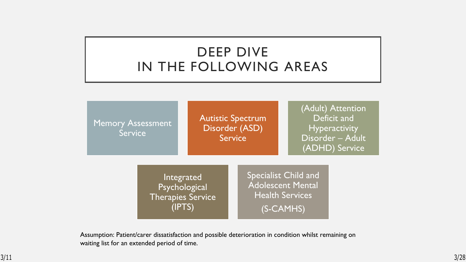### DEEP DIVE IN THE FOLLOWING AREAS

Memory Assessment **Service** 

Autistic Spectrum Disorder (ASD) **Service** 

(Adult) Attention Deficit and **Hyperactivity** Disorder – Adult (ADHD) Service

Integrated Psychological Therapies Service (IPTS)

Specialist Child and Adolescent Mental Health Services (S-CAMHS)

Assumption: Patient/carer dissatisfaction and possible deterioration in condition whilst remaining on waiting list for an extended period of time.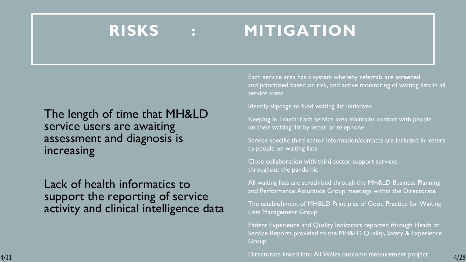# **RISKS : MITIGATION**

### The length of time that MH&LD service users are awaiting assessment and diagnosis is increasing

### Lack of health informatics to support the reporting of service activity and clinical intelligence data

Each service area has a system whereby referrals are screened and prioritised based on risk, and active monitoring of waiting lists in all service areas

#### Identify slippage to fund waiting list initiatives

• Keeping in Touch: Each service area maintains contact with people on their waiting list by letter or telephone

Service specific third sector information/contacts are included in letters to people on waiting lists

• Close collaboration with third sector support services throughout the pandemic

• All waiting lists are scrutinised through the MH&LD Business Planning and Performance Assurance Group meetings within the Directorate

• The establishment of MH&LD Principles of Good Practice for Waiting Lists Management Group

Patient Experience and Quality Indicators reported through Heads of Service Reports provided to the MH&LD Quality, Safety & Experience Group

• Directorate linked into All Wales outcome measurement project 4/11 4/28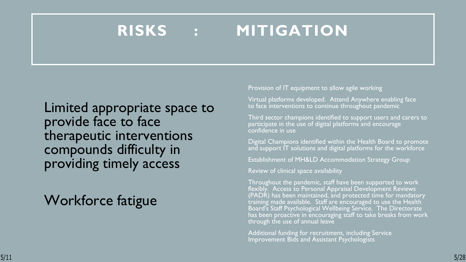# **RISKS : MITIGATION**

Limited appropriate space to provide face to face therapeutic interventions compounds difficulty in providing timely access

## Workforce fatigue

Provision of IT equipment to allow agile working

Virtual platforms developed. Attend Anywhere enabling face to face interventions to continue throughout pandemic

Third sector champions identified to support users and carers to participate in the use of digital platforms and encourage confidence in use

• Digital Champions identified within the Health Board to promote and support IT solutions and digital platforms for the workforce

**Establishment of MH&LD Accommodation Strategy Group** 

• Review of clinical space availability

• Throughout the pandemic, staff have been supported to work flexibly. Access to Personal Appraisal Development Reviews (PADR) has been maintained, and protected time for mandatory  $\overline{\text{training}}$  made available. Staff are encouraged to use the Health Board's Staff Psychological Wellbeing Service. The Directorate has been proactive in encouraging staff to take breaks from work through the use of annual leave

• Additional funding for recruitment, including Service Improvement Bids and Assistant Psychologists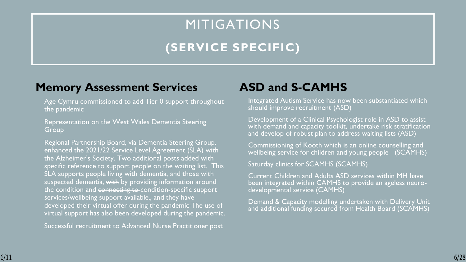# MITIGATIONS **(SERVICE SPECIFIC)**

### **Memory Assessment Services**

Age Cymru commissioned to add Tier 0 support throughout the pandemic

• Representation on the West Wales Dementia Steering Group

• Regional Partnership Board, via Dementia Steering Group, enhanced the 2021/22 Service Level Agreement (SLA) with the Alzheimer's Society. Two additional posts added with specific reference to support people on the waiting list. This SLA supports people living with dementia, and those with suspected dementia, with by providing information around the condition and connecting to-condition-specific support services/wellbeing support available., and they have developed their virtual offer during the pandemic The use of virtual support has also been developed during the pandemic.

• Successful recruitment to Advanced Nurse Practitioner post

### **ASD and S-CAMHS**

Integrated Autism Service has now been substantiated which should improve recruitment (ASD)

• Development of a Clinical Psychologist role in ASD to assist with demand and capacity toolkit, undertake risk stratification and develop of robust plan to address waiting lists (ASD)

• Commissioning of Kooth which is an online counselling and wellbeing service for children and young people (SCAMHS)

Saturday clinics for SCAMHS (SCAMHS)

• Current Children and Adults ASD services within MH have been integrated within CAMHS to provide an ageless neurodevelopmental service (CAMHS)

Demand & Capacity modelling undertaken with Delivery Unit and additional funding secured from Health Board (SCAMHS)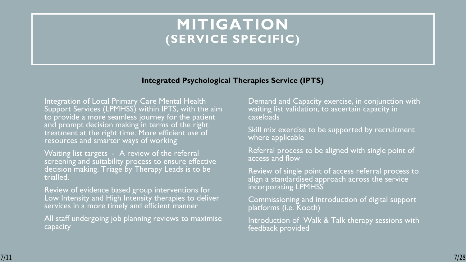### **MITIGATION (SERVICE SPECIFIC)**

#### **Integrated Psychological Therapies Service (IPTS)**

**Integration of Local Primary Care Mental Health** Support Services (LPMHSS) within IPTS, with the aim to provide a more seamless journey for the patient and prompt decision making in terms of the right  $\,$ treatment at the right time. More efficient use of resources and smarter ways of working

• Waiting list targets - A review of the referral screening and suitability process to ensure effective decision making. Triage by Therapy Leads is to be trialled.

Review of evidence based group interventions for Low Intensity and High Intensity therapies to deliver services in a more timely and efficient manner

All staff undergoing job planning reviews to maximise capacity

Demand and Capacity exercise, in conjunction with waiting list validation, to ascertain capacity in caseloads

Skill mix exercise to be supported by recruitment where applicable

Referral process to be aligned with single point of access and flow

• Review of single point of access referral process to align a standardised approach across the service incorporating LPMHSS

• Commissioning and introduction of digital support platforms (i.e. Kooth)

Introduction of Walk & Talk therapy sessions with feedback provided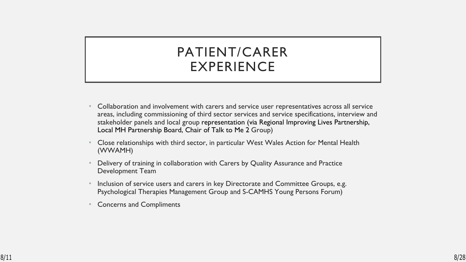### PATIENT/CARER EXPERIENCE

- Collaboration and involvement with carers and service user representatives across all service areas, including commissioning of third sector services and service specifications, interview and stakeholder panels and local group representation (via Regional Improving Lives Partnership, Local MH Partnership Board, Chair of Talk to Me 2 Group)
- Close relationships with third sector, in particular West Wales Action for Mental Health (WWAMH)
- Delivery of training in collaboration with Carers by Quality Assurance and Practice Development Team
- Inclusion of service users and carers in key Directorate and Committee Groups, e.g. Psychological Therapies Management Group and S-CAMHS Young Persons Forum)
- Concerns and Compliments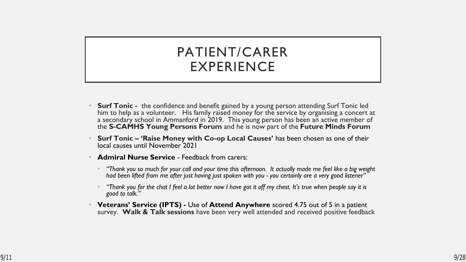### PATIENT/CARER EXPERIENCE

- **Surf Tonic** the confidence and benefit gained by a young person attending Surf Tonic led him to help as a volunteer. His family raised money for the service by organising a concert at a secondary school in Ammanford in 2019. This young person has been an active member of the **S-CAMHS Young Persons Forum** and he is now part of the **Future Minds Forum**
- **Surf Tonic 'Raise Money with Co-op Local Causes'** has been chosen as one of their local causes until November 2021
- **Admiral Nurse Service Feedback from carers:** 
	- *"Thank you so much for your call and your time this afternoon. It actually made me feel like a big weight had been lifted from me after just having just spoken with you - you certainly are a very good listener"*
	- *"Thank you for the chat I feel a lot better now I have got it off my chest. It's true when people say it is good to talk."*
- **Veterans' Service (IPTS)** Use of **Attend Anywhere** scored 4.75 out of 5 in a patient survey. **Walk & Talk sessions** have been very well attended and received positive feedback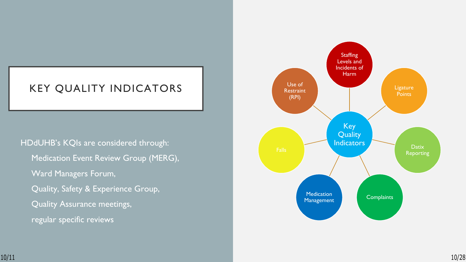### KEY QUALITY INDICATORS

HDdUHB's KQIs are considered through: • Medication Event Review Group (MERG), Ward Managers Forum, • Quality, Safety & Experience Group, • Quality Assurance meetings, regular specific reviews

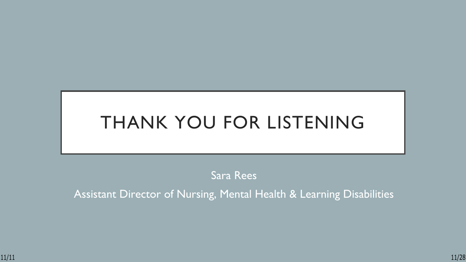# THANK YOU FOR LISTENING

Sara Rees

Assistant Director of Nursing, Mental Health & Learning Disabilities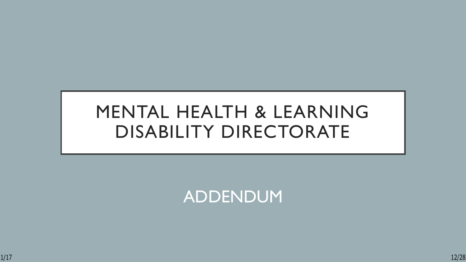# MENTAL HEALTH & LEARNING DISABILITY DIRECTORATE

ADDENDUM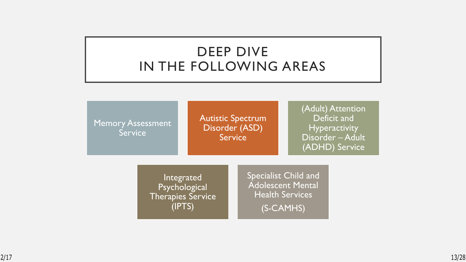### DEEP DIVE IN THE FOLLOWING AREAS

Memory Assessment Service

Autistic Spectrum Disorder (ASD) Service

(Adult) Attention Deficit and **Hyperactivity** Disorder – Adult (ADHD) Service

Integrated Psychological Therapies Service (IPTS)

Specialist Child and Adolescent Mental Health Services (S-CAMHS)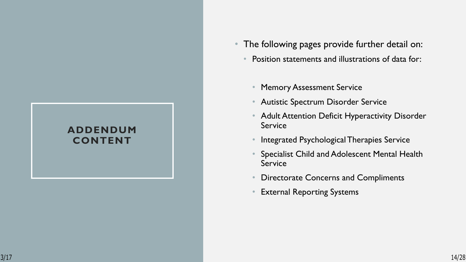#### **ADDENDUM CONTENT**

- The following pages provide further detail on:
	- Position statements and illustrations of data for:
		- Memory Assessment Service
		- Autistic Spectrum Disorder Service
		- Adult Attention Deficit Hyperactivity Disorder Service
		- Integrated Psychological Therapies Service
		- Specialist Child and Adolescent Mental Health Service
		- Directorate Concerns and Compliments
		- External Reporting Systems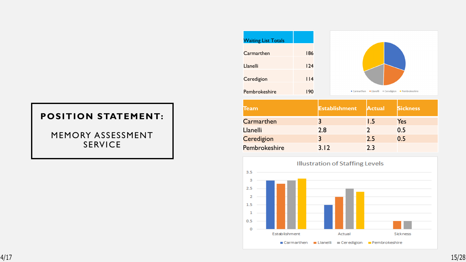MEMORY ASSESSMENT SERVICE

| <b>Waiting List Totals</b> |         |
|----------------------------|---------|
| Carmarthen                 | 186     |
| Llanelli                   | 124     |
| Ceredigion                 | $ $   4 |
|                            |         |
| Pembrokeshire              | 190     |

| <b>Team</b>     | <b>Establishment</b> | <b>Actual</b> | <b>Sickness</b> |
|-----------------|----------------------|---------------|-----------------|
| Carmarthen      |                      | 1.5           | Yes             |
| <b>Llanelli</b> | 2.8                  |               | 0.5             |
| Ceredigion      |                      | 2.5           | 0.5             |
| Pembrokeshire   | 3.12                 | 23            |                 |

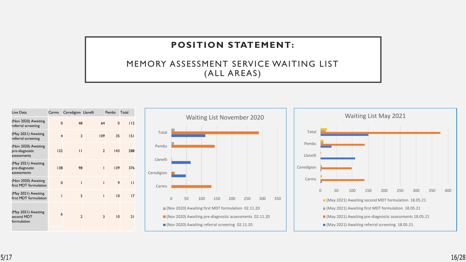#### MEMORY ASSESSMENT SERVICE WAITING LIST (ALL AREAS)

| Live Data                                            | Carms                   | Ceredigion Llanelli      |                | Pembs       | Total        |
|------------------------------------------------------|-------------------------|--------------------------|----------------|-------------|--------------|
| (Nov 2020) Awaiting<br>referral screening            | $\mathbf 0$             | 48                       | 64             | $\mathbf 0$ | 112          |
| (May 2021) Awaiting<br>referral screening            | $\overline{\mathbf{4}}$ | 3                        | 109            | 35          | 151          |
| (Nov 2020) Awaiting<br>pre-diagnostic<br>assessments | 132                     | $\mathbf{H}$             | $\overline{2}$ | 143         | 288          |
| (May 2021) Awaiting<br>pre-diagnostic<br>assessments | 138                     | 98                       | I              | 139         | 376          |
| (Nov 2020) Awaiting<br>first MDT formulation         | $\mathbf 0$             | ı                        | ı              | 9           | $\mathsf{L}$ |
| (May 2021) Awaiting<br>first MDT formulation         | Ī                       | 5                        | T              | 10          | 17           |
| (May 2021) Awaiting<br>second MDT<br>formulation     | 6                       | $\overline{\phantom{0}}$ | 3              | 10          | 21           |



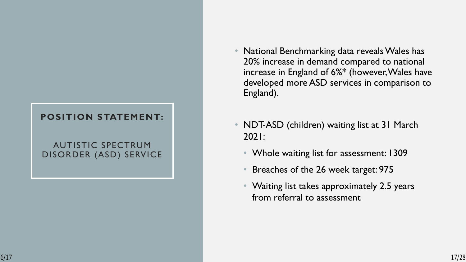#### AUTISTIC SPECTRUM DISORDER (ASD) SERVICE

- National Benchmarking data reveals Wales has 20% increase in demand compared to national increase in England of 6%\* (however, Wales have developed more ASD services in comparison to England).
- NDT-ASD (children) waiting list at 31 March 2021:
	- Whole waiting list for assessment: 1309
	- Breaches of the 26 week target: 975
	- Waiting list takes approximately 2.5 years from referral to assessment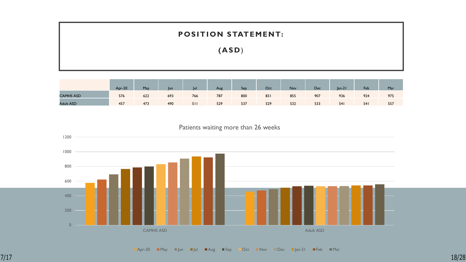**(AS D** )

|                  | <b>Apr-20</b> | May | lun | <b>Tul</b> | Aug | Sep | Oct | Nov | Dec | $lan-21$   | Feb | Mar |
|------------------|---------------|-----|-----|------------|-----|-----|-----|-----|-----|------------|-----|-----|
| <b>CAMHS ASD</b> | 576           | 622 | 693 | 766        | 787 | 800 | 83  | 855 | 907 | 936        | 924 | 975 |
| <b>Adult ASD</b> | 457           | 473 | 490 | 51         | 529 | 537 | 529 | 532 | 533 | <b>541</b> | 54  | 557 |

Patients waiting more than 26 weeks

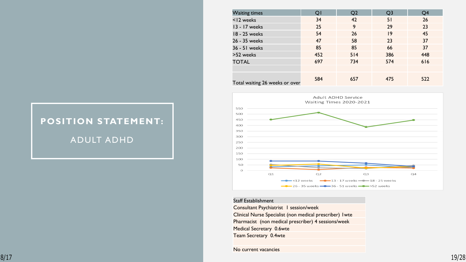### **POSITION STATEMENT:** ADULT ADHD

| <b>Waiting times</b>           | QI  | Q <sub>2</sub> | Q <sub>3</sub>  | Q4  |
|--------------------------------|-----|----------------|-----------------|-----|
| <12 weeks                      | 34  | 42             | 51              | 26  |
| 13 - 17 weeks                  | 25  | 9              | 29              | 23  |
| 18 - 25 weeks                  | 54  | 26             | $\overline{19}$ | 45  |
| 26 - 35 weeks                  | 47  | 58             | 23              | 37  |
| 36 - 51 weeks                  | 85  | 85             | 66              | 37  |
| >52 weeks                      | 452 | 514            | 386             | 448 |
| <b>TOTAL</b>                   | 697 | 734            | 574             | 616 |
|                                |     |                |                 |     |
| Total waiting 26 weeks or over | 584 | 657            | 475             | 522 |



#### Staff Establishment

Consultant Psychiatrist 1 session/week Clinical Nurse Specialist (non medical prescriber) 1wte Pharmacist (non medical prescriber) 4 sessions/week Medical Secretary 0.6wte Team Secretary 0.4wte

No current vacancies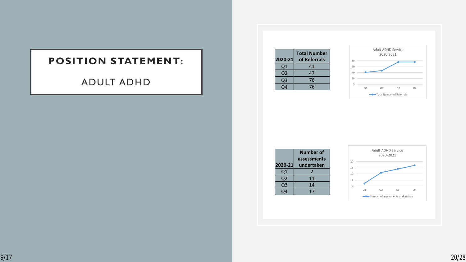#### ADULT ADHD

| 2020-21  | <b>Total Number</b><br>of Referrals |
|----------|-------------------------------------|
| Q1       | 41                                  |
| Q2       | 47                                  |
| Q3       | 76                                  |
| $\Omega$ | 76                                  |



|                | Number of   |
|----------------|-------------|
|                | assessments |
| 2020-21        | undertaken  |
| Q1             | 2           |
| Q2             | 11          |
| Q <sub>3</sub> | 14          |
| O4             | 17          |
|                |             |

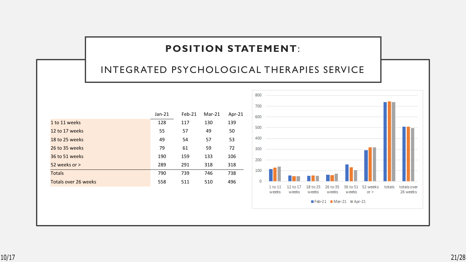#### INTEGRATED PSYCHOLOGICAL THERAPIES SERVICE

|                      | $Jan-21$ | $Feb-21$ | $Mar-21$ | Apr-21 |
|----------------------|----------|----------|----------|--------|
| 1 to 11 weeks        | 128      | 117      | 130      | 139    |
| 12 to 17 weeks       | 55       | 57       | 49       | 50     |
| 18 to 25 weeks       | 49       | 54       | 57       | 53     |
| 26 to 35 weeks       | 79       | 61       | 59       | 72     |
| 36 to 51 weeks       | 190      | 159      | 133      | 106    |
| 52 weeks or >        | 289      | 291      | 318      | 318    |
| <b>Totals</b>        | 790      | 739      | 746      | 738    |
| Totals over 26 weeks | 558      | 511      | 510      | 496    |
|                      |          |          |          |        |

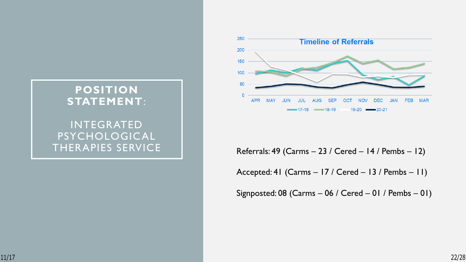

### THERAPIES SERVICE Referrals: 49 (Carms – 23 / Cered – 14 / Pembs – 12)

Accepted: 41 (Carms – 17 / Cered – 13 / Pembs – 11)

Signposted: 08 (Carms – 06 / Cered – 01 / Pembs – 01)

#### **POSITION STATEMENT**:

# INTEGRATED PSYCHOLOGICAL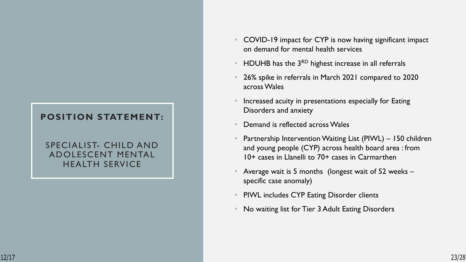#### SPECIALIST- CHILD AND ADOLESCENT MENTAL HEALTH SERVICE

- COVID-19 impact for CYP is now having significant impact on demand for mental health services
- HDUHB has the 3RD highest increase in all referrals
- 26% spike in referrals in March 2021 compared to 2020 across Wales
- Increased acuity in presentations especially for Eating Disorders and anxiety
- Demand is reflected across Wales
- Partnership Intervention Waiting List (PIWL) 150 children and young people (CYP) across health board area : from 10+ cases in Llanelli to 70+ cases in Carmarthen
- Average wait is 5 months (longest wait of 52 weeks specific case anomaly)
- PIWL includes CYP Eating Disorder clients
- No waiting list for Tier 3 Adult Eating Disorders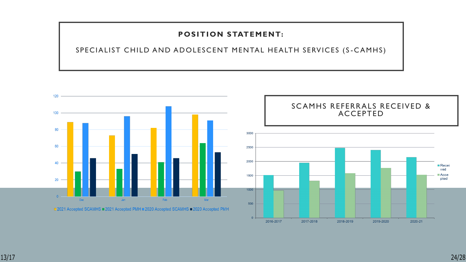SPECIALIST CHILD AND ADOLESCENT MENTAL HEALTH SERVICES (S-CAMHS)



2016-2017

2017-2018

2018-2019

2019-2020

2020-21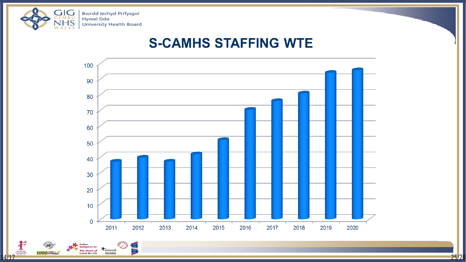

Calon<br><mark>lechyd Ll</mark>eol

The Heart of

**Local Health** 

 $1000$  of FYWYDAU

stonewall

### **S-CAMHS STAFFING WTE**



<u>14/17 25/28 25/28 26/28 26/28 26/28 26/28 26/28 26/28 26:28 26:28 26:28 26:28 26:28 26:28 26:28 26:28 26:28 26</u>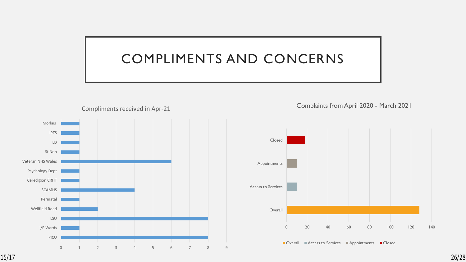### COMPLIMENTS AND CONCERNS



Complaints from April 2020 - March 2021



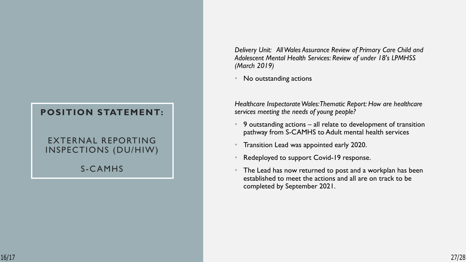#### EXTERNAL REPORTING INSPECTIONS (DU/HIW)

S -CAMHS

*Delivery Unit: All Wales Assurance Review of Primary Care Child and Adolescent Mental Health Services: Review of under 18's LPMHSS (March 2019)*

No outstanding actions

*Healthcare Inspectorate Wales: Thematic Report: How are healthcare services meeting the needs of young people?*

- 9 outstanding actions all relate to development of transition pathway from S-CAMHS to Adult mental health services
- Transition Lead was appointed early 2020.
- Redeployed to support Covid-19 response.
- The Lead has now returned to post and a workplan has been established to meet the actions and all are on track to be completed by September 2021.